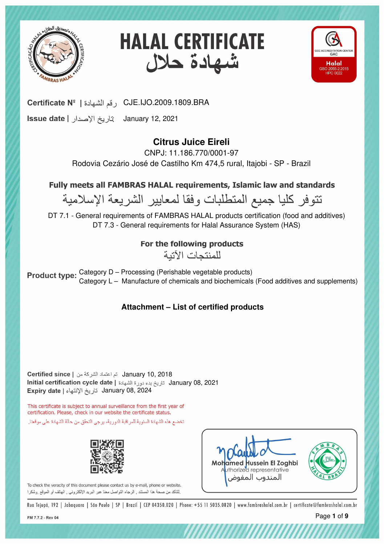





January 12, 2021

# **Citrus Juice Eireli**

CNPJ: 11.186.770/0001-97 Rodovia Cezário José de Castilho Km 474,5 rural, Itajobi - SP - Brazil

Fully meets all FAMBRAS HALAL requirements, Islamic law and standards

نتوفر كليا جميع المتطلبات وفقا لمعايير الشريعة الإسلامية

DT 7.1 - General requirements of FAMBRAS HALAL products certification (food and additives) DT 7.3 - General requirements for Halal Assurance System (HAS)

For the following products

للمنتحات الآتية

Category D – Processing (Perishable vegetable products) Category L – Manufacture of chemicals and biochemicals (Food additives and supplements)

**Attachment – List of certified products**

January 08, 2024 January 10, 2018 January 08, 2021

This certificate is subject to annual surveillance from the first year of certification. Please, check in our website the certificate status. تخضع هذه الشهادة السنوية للمراقبة الدورية، برجي التحقق من حالة الشهادة على موقعنا.





*THURRITHIII* 

To check the veracity of this document please contact us by e-mail, phone or website. للتأكد من صحة هذا المستند , الرجاء التواصل معنا عبر البريد الإلكتروني , الهاتف أو الموقع ,وشكرا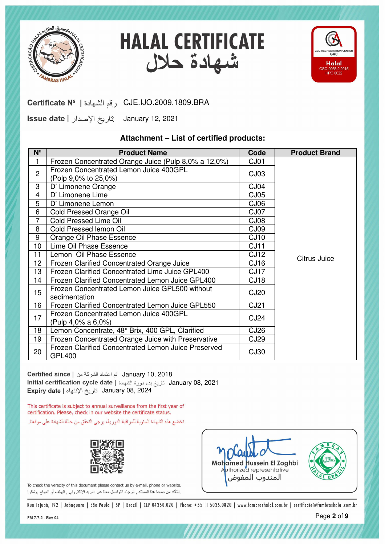





January 12, 2021

#### **Attachment – List of certified products:**

| $N^{\circ}$             | <b>Product Name</b>                                                  | Code             | <b>Product Brand</b> |
|-------------------------|----------------------------------------------------------------------|------------------|----------------------|
|                         | Frozen Concentrated Orange Juice (Pulp 8,0% a 12,0%)                 | CJ01             |                      |
| $\overline{2}$          | Frozen Concentrated Lemon Juice 400GPL                               | CJ03             |                      |
|                         | (Polp 9,0% to 25,0%)                                                 |                  |                      |
| 3                       | D' Limonene Orange                                                   | CJ04             |                      |
| $\overline{\mathbf{4}}$ | D' Limonene Lime                                                     | CJ05             |                      |
| 5                       | D' Limonene Lemon                                                    | CJ06             |                      |
| 6                       | Cold Pressed Orange Oil                                              | CJ07             |                      |
| $\overline{7}$          | <b>Cold Pressed Lime Oil</b>                                         | CJ08             |                      |
| 8                       | Cold Pressed lemon Oil                                               | CJ09             |                      |
| $9\,$                   | Orange Oil Phase Essence                                             | CJ10             |                      |
| 10                      | Lime Oil Phase Essence                                               | CJ11             |                      |
| 11                      | Lemon Oil Phase Essence                                              | CJ12             | Citrus Juice         |
| 12                      | Frozen Clarified Concentrated Orange Juice                           | CJ16             |                      |
| 13                      | Frozen Clarified Concentrated Lime Juice GPL400                      | CJ <sub>17</sub> |                      |
| 14                      | Frozen Clarified Concentrated Lemon Juice GPL400                     | CJ <sub>18</sub> |                      |
| 15                      | Frozen Concentrated Lemon Juice GPL500 without<br>sedimentation      | <b>CJ20</b>      |                      |
| 16                      | Frozen Clarified Concentrated Lemon Juice GPL550                     | <b>CJ21</b>      |                      |
| 17                      | Frozen Concentrated Lemon Juice 400GPL                               | <b>CJ24</b>      |                      |
|                         | (Pulp 4,0% a 6,0%)                                                   |                  |                      |
| 18                      | Lemon Concentrate, 48° Brix, 400 GPL, Clarified                      | CJ <sub>26</sub> |                      |
| 19                      | Frozen Concentrated Orange Juice with Preservative                   | CJ <sub>29</sub> |                      |
| 20                      | Frozen Clarified Concentrated Lemon Juice Preserved<br><b>GPL400</b> | <b>CJ30</b>      |                      |

January 08, 2024 January 10, 2018 January 08, 2021

This certificate is subject to annual surveillance from the first year of certification. Please, check in our website the certificate status.

تخضع هذه الشهادة السنوية للمراقبة الدورية، يرجى التحقق من حالة الشهادة على موقعنا.







,,,,,,,,,,,,,,,,,,,,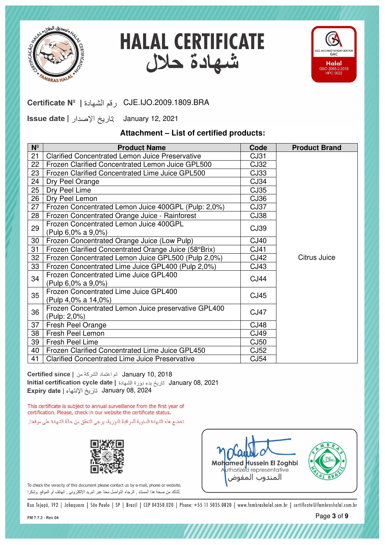





January 12, 2021

#### **Attachment – List of certified products:**

| $N^{\circ}$ | <b>Product Name</b>                                                 | Code        | <b>Product Brand</b> |
|-------------|---------------------------------------------------------------------|-------------|----------------------|
| 21          | <b>Clarified Concentrated Lemon Juice Preservative</b>              | CJ31        |                      |
| 22          | Frozen Clarified Concentrated Lemon Juice GPL500                    | CJ32        |                      |
| 23          | Frozen Clarified Concentrated Lime Juice GPL500                     | CJ33        |                      |
| 24          | Dry Peel Orange                                                     | CJ34        |                      |
| 25          | Dry Peel Lime                                                       | CJ35        |                      |
| 26          | Dry Peel Lemon                                                      | CJ36        |                      |
| 27          | Frozen Concentrated Lemon Juice 400GPL (Pulp: 2,0%)                 | CJ37        |                      |
| 28          | Frozen Concentrated Orange Juice - Rainforest                       | CJ38        |                      |
| 29          | Frozen Concentrated Lemon Juice 400GPL<br>(Pulp 6,0% a 9,0%)        | CJ39        |                      |
| 30          | Frozen Concentrated Orange Juice (Low Pulp)                         | <b>CJ40</b> |                      |
| 31          | Frozen Clarified Concentrated Orange Juice (58°Brix)                | CJ41        |                      |
| 32          | Frozen Concentrated Lemon Juice GPL500 (Pulp 2,0%)                  | CJ42        | Citrus Juice         |
| 33          | Frozen Concentrated Lime Juice GPL400 (Pulp 2,0%)                   | CJ43        |                      |
| 34          | Frozen Concentrated Lime Juice GPL400<br>(Pulp 6,0% a 9,0%)         | <b>CJ44</b> |                      |
| 35          | Frozen Concentrated Lime Juice GPL400<br>(Pulp 4,0% a 14,0%)        | <b>CJ45</b> |                      |
| 36          | Frozen Concentrated Lemon Juice preservative GPL400<br>(Pulp: 2,0%) | <b>CJ47</b> |                      |
| 37          | Fresh Peel Orange                                                   | <b>CJ48</b> |                      |
| 38          | Fresh Peel Lemon                                                    | CJ49        |                      |
| 39          | <b>Fresh Peel Lime</b>                                              | CJ50        |                      |
| 40          | Frozen Clarified Concentrated Lime Juice GPL450                     | CJ52        |                      |
| 41          | <b>Clarified Concentrated Lime Juice Preservative</b>               | <b>CJ54</b> |                      |

January 08, 2024 January 10, 2018 January 08, 2021

This certificate is subject to annual surveillance from the first year of certification. Please, check in our website the certificate status.

تخضع هذه الشهادة السنوية للمراقبة الدورية، يرجى التحقق من حالة الشهادة على موقعنا.





*mmmmmm* 

To check the veracity of this document please contact us by e-mail, phone or website. لِلتَاكِد من صحة هذا المستند , الرجاء التواصل معنا عبر البريد الإلكترونـي , الـهاتف أو الموقع ,وشكرا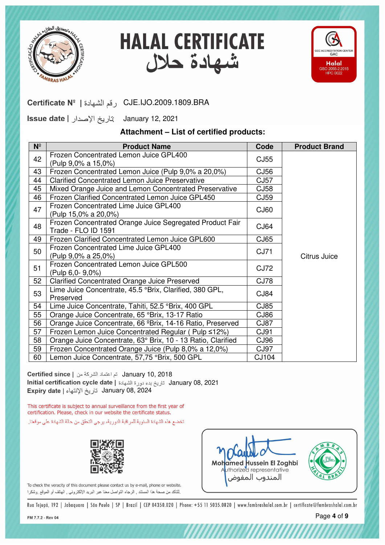





January 12, 2021

### **Attachment – List of certified products:**

| $N^{\circ}$ | <b>Product Name</b>                                                             | Code        | <b>Product Brand</b> |
|-------------|---------------------------------------------------------------------------------|-------------|----------------------|
| 42          | Frozen Concentrated Lemon Juice GPL400<br>(Pulp 9,0% a 15,0%)                   | CJ55        |                      |
| 43          | Frozen Concentrated Lemon Juice (Pulp 9,0% a 20,0%)                             | <b>CJ56</b> |                      |
| 44          | <b>Clarified Concentrated Lemon Juice Preservative</b>                          | <b>CJ57</b> |                      |
| 45          | Mixed Orange Juice and Lemon Concentrated Preservative                          | CJ58        |                      |
| 46          | Frozen Clarified Concentrated Lemon Juice GPL450                                | CJ59        |                      |
| 47          | Frozen Concentrated Lime Juice GPL400<br>(Pulp 15,0% a 20,0%)                   | <b>CJ60</b> |                      |
| 48          | Frozen Concentrated Orange Juice Segregated Product Fair<br>Trade - FLO ID 1591 | CJ64        |                      |
| 49          | Frozen Clarified Concentrated Lemon Juice GPL600                                | CJ65        |                      |
| 50          | Frozen Concentrated Lime Juice GPL400<br>(Pulp 9,0% a 25,0%)                    | <b>CJ71</b> | Citrus Juice         |
| 51          | Frozen Concentrated Lemon Juice GPL500<br>(Pulp 6,0-9,0%)                       | <b>CJ72</b> |                      |
| 52          | Clarified Concentrated Orange Juice Preserved                                   | <b>CJ78</b> |                      |
| 53          | Lime Juice Concentrate, 45.5 °Brix, Clarified, 380 GPL,<br>Preserved            | CJ84        |                      |
| 54          | Lime Juice Concentrate, Tahiti, 52.5 °Brix, 400 GPL                             | CJ85        |                      |
| 55          | Orange Juice Concentrate, 65 °Brix, 13-17 Ratio                                 | CJ86        |                      |
| 56          | Orange Juice Concentrate, 66 °Brix, 14-16 Ratio, Preserved                      | CJ87        |                      |
| 57          | Frozen Lemon Juice Concentrated Regular (Pulp ≤12%)                             | CJ91        |                      |
| 58          | Orange Juice Concentrate, 63° Brix, 10 - 13 Ratio, Clarified                    | CJ96        |                      |
| 59          | Frozen Concentrated Orange Juice (Pulp 8,0% a 12,0%)                            | CJ97        |                      |
| 60          | Lemon Juice Concentrate, 57,75 °Brix, 500 GPL                                   | CJ104       |                      |

January 08, 2024 January 10, 2018 January 08, 2021

This certificate is subject to annual surveillance from the first year of certification. Please, check in our website the certificate status.

تخضع هذه الشهادة السنوية للمراقبة الدورية، يرجى التحقق من حالة الشهادة على موقعنا.







,,,,,,,,,,,,,,,,,,,,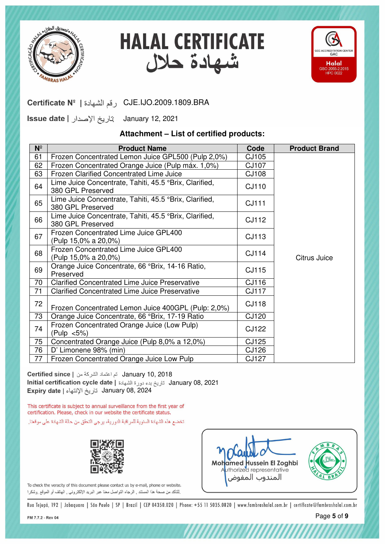





January 12, 2021

#### **Attachment – List of certified products:**

| $N^{\circ}$ | <b>Product Name</b>                                                         | Code         | <b>Product Brand</b> |
|-------------|-----------------------------------------------------------------------------|--------------|----------------------|
| 61          | Frozen Concentrated Lemon Juice GPL500 (Pulp 2,0%)                          | CJ105        |                      |
| 62          | Frozen Concentrated Orange Juice (Pulp máx. 1,0%)                           | CJ107        |                      |
| 63          | <b>Frozen Clarified Concentrated Lime Juice</b>                             | <b>CJ108</b> |                      |
| 64          | Lime Juice Concentrate, Tahiti, 45.5 °Brix, Clarified,<br>380 GPL Preserved | CJ110        |                      |
| 65          | Lime Juice Concentrate, Tahiti, 45.5 °Brix, Clarified,<br>380 GPL Preserved | <b>CJ111</b> |                      |
| 66          | Lime Juice Concentrate, Tahiti, 45.5 °Brix, Clarified,<br>380 GPL Preserved | CJ112        |                      |
| 67          | Frozen Concentrated Lime Juice GPL400<br>(Pulp 15,0% a 20,0%)               | CJ113        |                      |
| 68          | Frozen Concentrated Lime Juice GPL400<br>(Pulp 15,0% a 20,0%)               | CJ114        | Citrus Juice         |
| 69          | Orange Juice Concentrate, 66 °Brix, 14-16 Ratio,<br>Preserved               | CJ115        |                      |
| 70          | <b>Clarified Concentrated Lime Juice Preservative</b>                       | CJ116        |                      |
| 71          | <b>Clarified Concentrated Lime Juice Preservative</b>                       | <b>CJ117</b> |                      |
| 72          | Frozen Concentrated Lemon Juice 400GPL (Pulp: 2,0%)                         | <b>CJ118</b> |                      |
| 73          | Orange Juice Concentrate, 66 °Brix, 17-19 Ratio                             | CJ120        |                      |
| 74          | Frozen Concentrated Orange Juice (Low Pulp)<br>(Pulp <5%)                   | <b>CJ122</b> |                      |
| 75          | Concentrated Orange Juice (Pulp 8,0% a 12,0%)                               | CJ125        |                      |
| 76          | D' Limonene 98% (min)                                                       | CJ126        |                      |
| 77          | Frozen Concentrated Orange Juice Low Pulp                                   | CJ127        |                      |

January 08, 2024 January 10, 2018 January 08, 2021

This certificate is subject to annual surveillance from the first year of certification. Please, check in our website the certificate status.

تخضع هذه الشهادة السنوية للمراقبة الدورية، يرجى التحقق من حالة الشهادة على موقعنا.





*HIIIIIIIIIIIIII* 

To check the veracity of this document please contact us by e-mail, phone or website. لِلتَاكِد من صحة هذا المستند , الرجاء التواصل معنا عبر البريد الإلكترونـي , الـهاتف أو الموقع ,وشكرا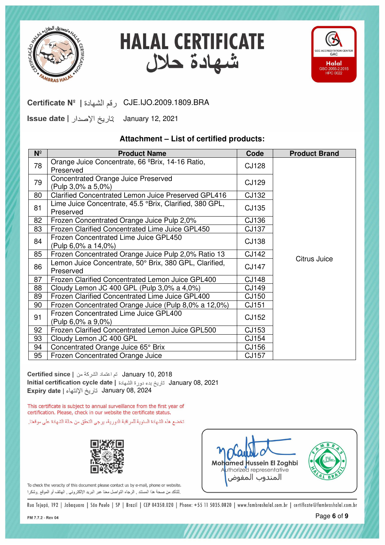





January 12, 2021

#### **Attachment – List of certified products:**

| $N^{\circ}$ | <b>Product Name</b>                                                  | Code         | <b>Product Brand</b> |
|-------------|----------------------------------------------------------------------|--------------|----------------------|
| 78          | Orange Juice Concentrate, 66 ºBrix, 14-16 Ratio,<br>Preserved        | <b>CJ128</b> |                      |
| 79          | Concentrated Orange Juice Preserved<br>(Pulp 3,0% a 5,0%)            | CJ129        |                      |
| 80          | <b>Clarified Concentrated Lemon Juice Preserved GPL416</b>           | CJ132        |                      |
| 81          | Lime Juice Concentrate, 45.5 °Brix, Clarified, 380 GPL,<br>Preserved | CJ135        |                      |
| 82          | Frozen Concentrated Orange Juice Pulp 2,0%                           | CJ136        |                      |
| 83          | Frozen Clarified Concentrated Lime Juice GPL450                      | CJ137        |                      |
| 84          | Frozen Concentrated Lime Juice GPL450<br>(Pulp 6,0% a 14,0%)         | <b>CJ138</b> |                      |
| 85          | Frozen Concentrated Orange Juice Pulp 2,0% Ratio 13                  | CJ142        |                      |
| 86          | Lemon Juice Concentrate, 50° Brix, 380 GPL, Clarified,<br>Preserved  | CJ147        | Citrus Juice         |
| 87          | Frozen Clarified Concentrated Lemon Juice GPL400                     | CJ148        |                      |
| 88          | Cloudy Lemon JC 400 GPL (Pulp 3,0% a 4,0%)                           | CJ149        |                      |
| 89          | Frozen Clarified Concentrated Lime Juice GPL400                      | CJ150        |                      |
| 90          | Frozen Concentrated Orange Juice (Pulp 8,0% a 12,0%)                 | CJ151        |                      |
| 91          | Frozen Concentrated Lime Juice GPL400<br>(Pulp 6,0% a 9,0%)          | CJ152        |                      |
| 92          | Frozen Clarified Concentrated Lemon Juice GPL500                     | CJ153        |                      |
| 93          | Cloudy Lemon JC 400 GPL                                              | CJ154        |                      |
| 94          | Concentrated Orange Juice 65° Brix                                   | CJ156        |                      |
| 95          | Frozen Concentrated Orange Juice                                     | CJ157        |                      |

January 08, 2024 January 10, 2018 January 08, 2021

This certificate is subject to annual surveillance from the first year of certification. Please, check in our website the certificate status.

تخضع هذه الشهادة السنوية للمراقبة الدورية، يرجى التحقق من حالة الشهادة على موقعنا.





*HIIIIIIIIIIIIIII*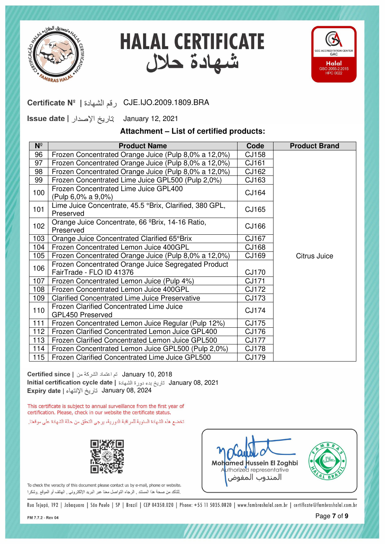





January 12, 2021

### **Attachment – List of certified products:**

| $N^{\circ}$ | <b>Product Name</b>                                                             | Code         | <b>Product Brand</b> |
|-------------|---------------------------------------------------------------------------------|--------------|----------------------|
| 96          | Frozen Concentrated Orange Juice (Pulp 8,0% a 12,0%)                            | CJ158        |                      |
| 97          | Frozen Concentrated Orange Juice (Pulp 8,0% a 12,0%)                            | CJ161        |                      |
| 98          | Frozen Concentrated Orange Juice (Pulp 8,0% a 12,0%)                            | CJ162        |                      |
| 99          | Frozen Concentrated Lime Juice GPL500 (Pulp 2,0%)                               | CJ163        |                      |
| 100         | Frozen Concentrated Lime Juice GPL400<br>(Pulp 6,0% a 9,0%)                     | CJ164        |                      |
| 101         | Lime Juice Concentrate, 45.5 °Brix, Clarified, 380 GPL,<br>Preserved            | CJ165        |                      |
| 102         | Orange Juice Concentrate, 66 ºBrix, 14-16 Ratio,<br>Preserved                   | CJ166        |                      |
| 103         | Orange Juice Concentrated Clarified 65°Brix                                     | CJ167        |                      |
| 104         | Frozen Concentrated Lemon Juice 400GPL                                          | CJ168        |                      |
| 105         | Frozen Concentrated Orange Juice (Pulp 8,0% a 12,0%)                            | CJ169        | Citrus Juice         |
| 106         | Frozen Concentrated Orange Juice Segregated Product<br>FairTrade - FLO ID 41376 | <b>CJ170</b> |                      |
| 107         | Frozen Concentrated Lemon Juice (Pulp 4%)                                       | CJ171        |                      |
| 108         | Frozen Concentrated Lemon Juice 400GPL                                          | CJ172        |                      |
| 109         | <b>Clarified Concentrated Lime Juice Preservative</b>                           | CJ173        |                      |
| 110         | Frozen Clarified Concentrated Lime Juice<br>GPL450 Preserved                    | CJ174        |                      |
| 111         | Frozen Concentrated Lemon Juice Regular (Pulp 12%)                              | CJ175        |                      |
| 112         | Frozen Clarified Concentrated Lemon Juice GPL400                                | CJ176        |                      |
| 113         | Frozen Clarified Concentrated Lemon Juice GPL500                                | <b>CJ177</b> |                      |
| 114         | Frozen Concentrated Lemon Juice GPL500 (Pulp 2,0%)                              | <b>CJ178</b> |                      |
| 115         | Frozen Clarified Concentrated Lime Juice GPL500                                 | CJ179        |                      |

January 08, 2024 January 10, 2018 January 08, 2021

This certificate is subject to annual surveillance from the first year of certification. Please, check in our website the certificate status.

تخضع هذه الشهادة السنوية للمراقبة الدورية، يرجى التحقق من حالة الشهادة على موقعنا.



To check the veracity of this document please contact us by e-mail, phone or website. لِلتَاكِد من صحة هذا المستند , الرجاء التواصل معنا عبر البريد الإلكترونـي , الـهاتف أو الموقع ,وشكرا



*HIIIIIIIIIIIIII*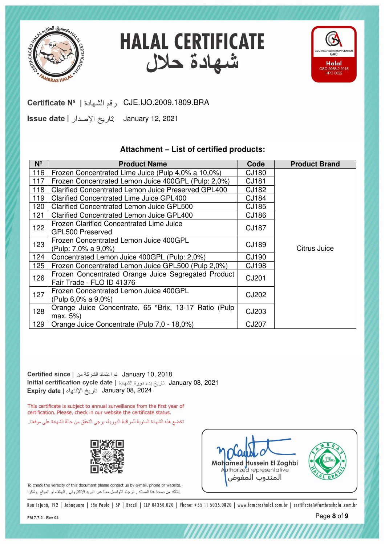

**HALAL CERTIFICATE** شهادة حلال



CJE.IJO.2009.1809.BRA رقم الشهادة | Cortificate Nº

January 12, 2021

#### **Attachment – List of certified products:**

| $N^{\circ}$ | <b>Product Name</b>                                                              | Code         | <b>Product Brand</b> |
|-------------|----------------------------------------------------------------------------------|--------------|----------------------|
| 116         | Frozen Concentrated Lime Juice (Pulp 4,0% a 10,0%)                               | CJ180        |                      |
| 117         | Frozen Concentrated Lemon Juice 400GPL (Pulp: 2,0%)                              | CJ181        |                      |
| 118         | Clarified Concentrated Lemon Juice Preserved GPL400                              | CJ182        |                      |
| 119         | Clarified Concentrated Lime Juice GPL400                                         | CJ184        |                      |
| 120         | Clarified Concentrated Lemon Juice GPL500                                        | CJ185        |                      |
| 121         | <b>Clarified Concentrated Lemon Juice GPL400</b>                                 | CJ186        |                      |
| 122         | Frozen Clarified Concentrated Lime Juice<br>GPL500 Preserved                     | <b>CJ187</b> |                      |
| 123         | Frozen Concentrated Lemon Juice 400GPL                                           | CJ189        |                      |
|             | (Pulp: 7,0% a 9,0%)                                                              |              | Citrus Juice         |
| 124         | Concentrated Lemon Juice 400GPL (Pulp: 2,0%)                                     | CJ190        |                      |
| 125         | Frozen Concentrated Lemon Juice GPL500 (Pulp 2,0%)                               | <b>CJ198</b> |                      |
| 126         | Frozen Concentrated Orange Juice Segregated Product<br>Fair Trade - FLO ID 41376 | CJ201        |                      |
| 127         | Frozen Concentrated Lemon Juice 400GPL<br>(Pulp 6,0% a 9,0%)                     | CJ202        |                      |
| 128         | Orange Juice Concentrate, 65 °Brix, 13-17 Ratio (Pulp<br>max. 5%)                | CJ203        |                      |
| 129         | Orange Juice Concentrate (Pulp 7,0 - 18,0%)                                      | <b>CJ207</b> |                      |

January 08, 2024 January 10, 2018 January 08, 2021

This certificate is subject to annual surveillance from the first year of certification. Please, check in our website the certificate status.

تخضع هذه الشهادة السنوية للمراقبة الدورية، يرجى التحقق من حالة الشهادة على موقعنا.



To check the veracity of this document please contact us by e-mail, phone or website. لِلتَاكِد من صحة هذا المستند , الرجاء التواصل معنا عبر البريد الإلكترونـي , الـهاتف أو الموقع ,وشكرا

Mohamed Hussein El Zoghbi المندوب المفوض

*mmmmmm*